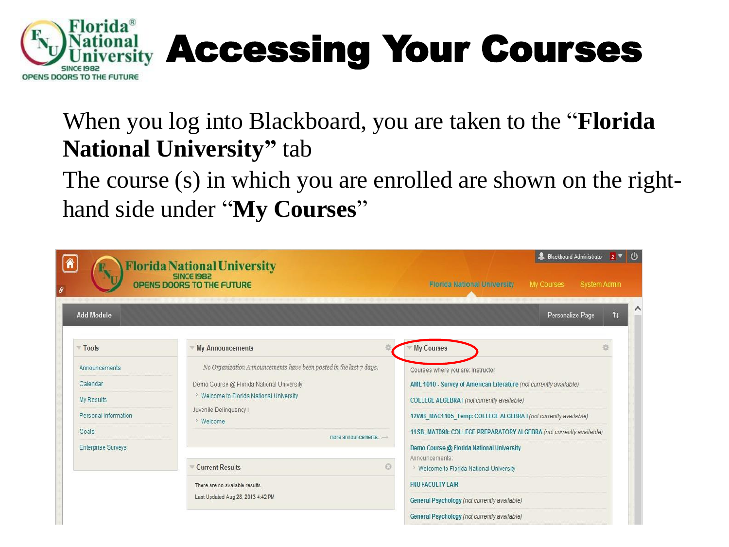

## al **Accessing Your Courses**

### When you log into Blackboard, you are taken to the "**Florida National University"** tab

The course (s) in which you are enrolled are shown on the righthand side under "**My Courses**"

|                                                                          | <b>Florida National University</b><br>OPENS DOORS TO THE FUTURE                                                                                                                                    | <b>O</b><br>Blackboard Administrator 2 V<br>My Courses<br><b>Florida National University</b><br>System Admin                                                                                                                                                                                   |  |  |
|--------------------------------------------------------------------------|----------------------------------------------------------------------------------------------------------------------------------------------------------------------------------------------------|------------------------------------------------------------------------------------------------------------------------------------------------------------------------------------------------------------------------------------------------------------------------------------------------|--|--|
| <b>Add Module</b>                                                        |                                                                                                                                                                                                    | Personalize Page<br>11                                                                                                                                                                                                                                                                         |  |  |
| Tools                                                                    | <b>My Announcements</b>                                                                                                                                                                            | <b>My Courses</b>                                                                                                                                                                                                                                                                              |  |  |
| Announcements<br>Calendar<br>My Results<br>Personal Information<br>Goals | No Organization Announcements have been posted in the last 7 days.<br>Demo Course @ Florida National University<br>> Welcome to Florida National University<br>Juvenile Delinquency I<br>> Welcome | Courses where you are: Instructor<br>AML 1010 - Survey of American Literature (not currently available)<br>COLLEGE ALGEBRA I (not currently available)<br>12WB_MAC1105_Temp: COLLEGE ALGEBRA I (not currently available)<br>11SB MAT098: COLLEGE PREPARATORY ALGEBRA (not currently available) |  |  |
| <b>Enterprise Surveys</b>                                                | more announcements-<br>63<br><b>Current Results</b>                                                                                                                                                | Demo Course @ Florida National University<br>Announcements:<br>> Welcome to Florida National University                                                                                                                                                                                        |  |  |
|                                                                          | There are no available results.<br>Last Updated Aug 28, 2013 4:42 PM                                                                                                                               | <b>FNU FACULTY LAIR</b><br>General Psychology (not currently available)                                                                                                                                                                                                                        |  |  |
|                                                                          |                                                                                                                                                                                                    | General Psychology (not currently available)                                                                                                                                                                                                                                                   |  |  |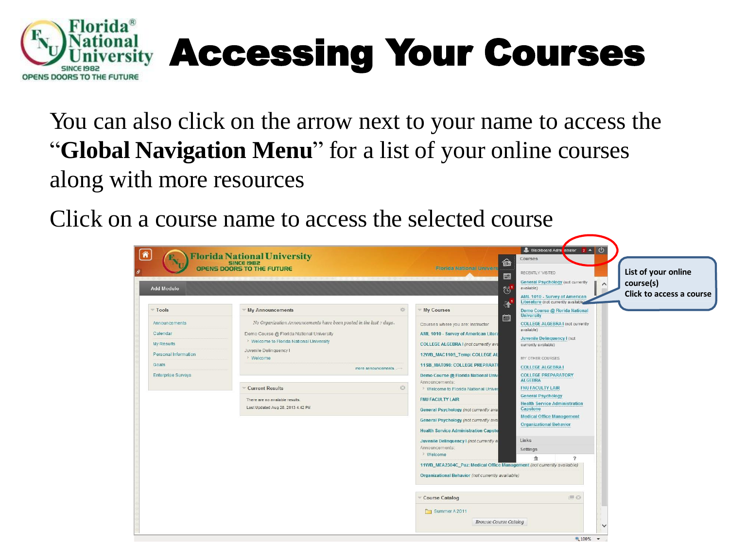

# Accessing Your Courses

You can also click on the arrow next to your name to access the "**Global Navigation Menu**" for a list of your online courses along with more resources

Click on a course name to access the selected course

| <b>Add Module</b>                                                                                      |                                                                                                                                                                                                                                                    |                                                                                                                                                                                                                                                                                            | RECENTLY VISITED<br>図<br><b>General Psychology (not currently</b><br>available)<br>$\circledcirc$<br>AML 1010 - Survey of American                                                                                                                                                             | List of your online<br>course(s)<br>Click to access a course |
|--------------------------------------------------------------------------------------------------------|----------------------------------------------------------------------------------------------------------------------------------------------------------------------------------------------------------------------------------------------------|--------------------------------------------------------------------------------------------------------------------------------------------------------------------------------------------------------------------------------------------------------------------------------------------|------------------------------------------------------------------------------------------------------------------------------------------------------------------------------------------------------------------------------------------------------------------------------------------------|--------------------------------------------------------------|
| Tools                                                                                                  | <b>My Announcements</b>                                                                                                                                                                                                                            | 兴<br>My Courses                                                                                                                                                                                                                                                                            | Literature (not currently available)<br>$\mathbf{F}$<br>Demo Course @ Florida National                                                                                                                                                                                                         |                                                              |
| Announcements<br>Calendar<br>My Results<br>Personal Information<br>Goals.<br><b>Enterprise Surveys</b> | No Organization Announcements have been posted in the last 7 days.<br>Demo Course @ Florida National University<br>> Welcome to Florida National University<br>Juvenile Delinquency I<br>> Welcome<br>more announcements<br><b>Current Results</b> | Courses where you are: Instructor<br>AML 1010 - Survey of American Litera<br>COLLEGE ALGEBRA I (not currently ava<br>12WB_MAC1105_Temp: COLLEGE AL<br>11SB_MAT098: COLLEGE PREPARATO<br>Demo Course @ Florida National Univ<br>Announcements:<br>G<br>> Welcome to Florida National Univer | <b>University</b><br>篇<br><b>COLLEGE ALGEBRA I (not currently</b><br>available)<br>Juvenile Delinquency I (not<br>currently available)<br>MY OTHER COURSES<br><b>COLLEGE ALGEBRA I</b><br><b>COLLEGE PREPARATORY</b><br><b>ALGEBRA</b><br><b>FNU FACULTY LAIR</b><br><b>General Psychology</b> |                                                              |
|                                                                                                        | There are no available results.<br>Last Updated Aug 28, 2013 4:42 PM                                                                                                                                                                               | <b>FNU FACULTY LAIR</b><br>General Psychology (not currently ava<br>General Psychology (not currently ava<br><b>Health Service Administration Capsto</b>                                                                                                                                   | <b>Health Service Administration</b><br>Capstone<br><b>Medical Office Management</b><br><b>Organizational Behavior</b>                                                                                                                                                                         |                                                              |
|                                                                                                        |                                                                                                                                                                                                                                                    | Juvenile Delinquency I (not currently a<br>Announcements:<br>> Welcome<br>Organizational Behavior (not currently available)                                                                                                                                                                | Links<br>Settings<br>$\overline{\phantom{a}}$<br>11WB_MEA2304C_Paz: Medical Office Management (not currently available)                                                                                                                                                                        |                                                              |
|                                                                                                        |                                                                                                                                                                                                                                                    | <b>Course Catalog</b><br>Summer A 2011                                                                                                                                                                                                                                                     | $\Box$<br><b>Browse Course Catalog</b>                                                                                                                                                                                                                                                         |                                                              |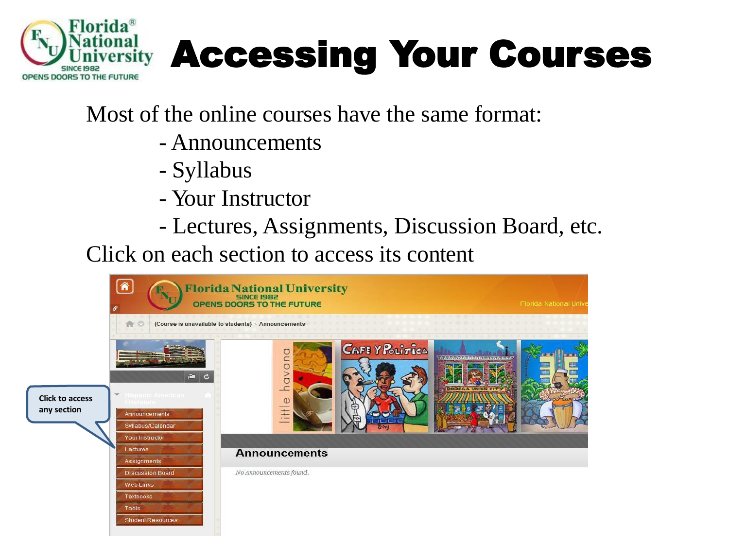

## Accessing Your Courses

#### Most of the online courses have the same format:

- Announcements
- Syllabus
- Your Instructor
- Lectures, Assignments, Discussion Board, etc.

Click on each section to access its content